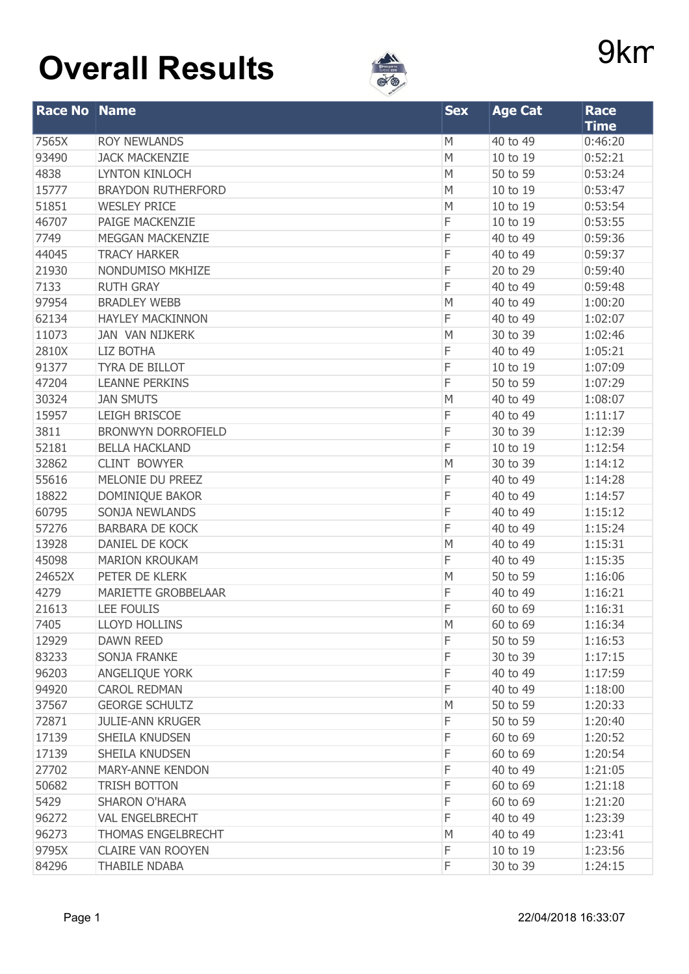## 9km Trail **Overall Results**



| <b>Race No Name</b> |                            | <b>Sex</b> | <b>Age Cat</b> | <b>Race</b> |
|---------------------|----------------------------|------------|----------------|-------------|
|                     |                            |            |                | <b>Time</b> |
| 7565X               | <b>ROY NEWLANDS</b>        | M          | 40 to 49       | 0:46:20     |
| 93490               | <b>JACK MACKENZIE</b>      | M          | 10 to 19       | 0:52:21     |
| 4838                | <b>LYNTON KINLOCH</b>      | M          | 50 to 59       | 0:53:24     |
| 15777               | <b>BRAYDON RUTHERFORD</b>  | M          | 10 to 19       | 0:53:47     |
| 51851               | <b>WESLEY PRICE</b>        | M          | 10 to 19       | 0:53:54     |
| 46707               | PAIGE MACKENZIE            | F          | 10 to 19       | 0:53:55     |
| 7749                | <b>MEGGAN MACKENZIE</b>    | F          | 40 to 49       | 0:59:36     |
| 44045               | <b>TRACY HARKER</b>        | F          | 40 to 49       | 0:59:37     |
| 21930               | NONDUMISO MKHIZE           | F          | 20 to 29       | 0:59:40     |
| 7133                | <b>RUTH GRAY</b>           | F          | 40 to 49       | 0:59:48     |
| 97954               | <b>BRADLEY WEBB</b>        | M          | 40 to 49       | 1:00:20     |
| 62134               | <b>HAYLEY MACKINNON</b>    | F          | 40 to 49       | 1:02:07     |
| 11073               | <b>JAN VAN NIJKERK</b>     | M          | 30 to 39       | 1:02:46     |
| 2810X               | <b>LIZ BOTHA</b>           | F          | 40 to 49       | 1:05:21     |
| 91377               | TYRA DE BILLOT             | F          | 10 to 19       | 1:07:09     |
| 47204               | <b>LEANNE PERKINS</b>      | F          | 50 to 59       | 1:07:29     |
| 30324               | <b>JAN SMUTS</b>           | M          | 40 to 49       | 1:08:07     |
| 15957               | <b>LEIGH BRISCOE</b>       | F          | 40 to 49       | 1:11:17     |
| 3811                | <b>BRONWYN DORROFIELD</b>  | F          | 30 to 39       | 1:12:39     |
| 52181               | <b>BELLA HACKLAND</b>      | F          | 10 to 19       | 1:12:54     |
| 32862               | <b>CLINT BOWYER</b>        | M          | 30 to 39       | 1:14:12     |
| 55616               | MELONIE DU PREEZ           | F          | 40 to 49       | 1:14:28     |
| 18822               | DOMINIQUE BAKOR            | F          | 40 to 49       | 1:14:57     |
| 60795               | SONJA NEWLANDS             | F          | 40 to 49       | 1:15:12     |
| 57276               | <b>BARBARA DE KOCK</b>     | F          | 40 to 49       | 1:15:24     |
| 13928               | <b>DANIEL DE KOCK</b>      | M          | 40 to 49       | 1:15:31     |
| 45098               | <b>MARION KROUKAM</b>      | F          | 40 to 49       | 1:15:35     |
| 24652X              | PETER DE KLERK             | M          | 50 to 59       | 1:16:06     |
| 4279                | <b>MARIETTE GROBBELAAR</b> | F          | 40 to 49       | 1:16:21     |
| 21613               | <b>LEE FOULIS</b>          | F          | 60 to 69       | 1:16:31     |
| 7405                | <b>LLOYD HOLLINS</b>       | M          | 60 to 69       | 1:16:34     |
| 12929               | <b>DAWN REED</b>           | F          | 50 to 59       | 1:16:53     |
| 83233               | <b>SONJA FRANKE</b>        | F          | 30 to 39       | 1:17:15     |
| 96203               | ANGELIQUE YORK             | F          | 40 to 49       | 1:17:59     |
| 94920               | <b>CAROL REDMAN</b>        | F          | 40 to 49       | 1:18:00     |
| 37567               | <b>GEORGE SCHULTZ</b>      | M          | 50 to 59       | 1:20:33     |
| 72871               | <b>JULIE-ANN KRUGER</b>    | F          | 50 to 59       | 1:20:40     |
| 17139               | SHEILA KNUDSEN             | F          | 60 to 69       | 1:20:52     |
| 17139               | SHEILA KNUDSEN             | F          | 60 to 69       | 1:20:54     |
| 27702               | <b>MARY-ANNE KENDON</b>    | F          | 40 to 49       | 1:21:05     |
| 50682               | TRISH BOTTON               | F          | 60 to 69       | 1:21:18     |
| 5429                | <b>SHARON O'HARA</b>       | F          | 60 to 69       | 1:21:20     |
| 96272               | <b>VAL ENGELBRECHT</b>     | F          | 40 to 49       | 1:23:39     |
| 96273               | THOMAS ENGELBRECHT         | M          | 40 to 49       | 1:23:41     |
| 9795X               | <b>CLAIRE VAN ROOYEN</b>   | F          | 10 to 19       | 1:23:56     |
| 84296               | <b>THABILE NDABA</b>       | F          | 30 to 39       | 1:24:15     |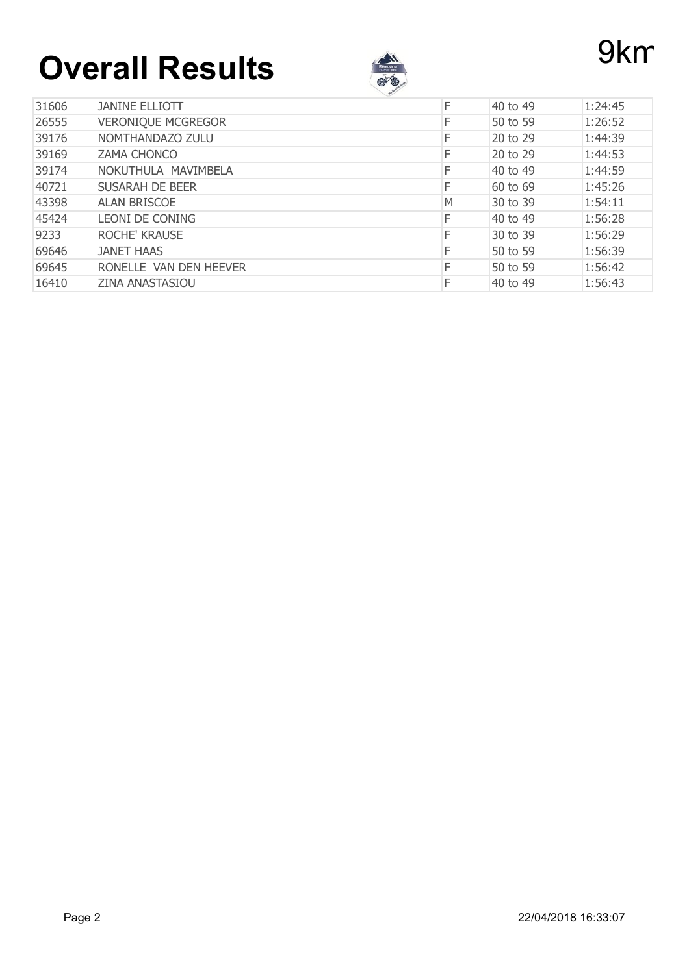# **Overall Results Property**



|       |                           | $\sim$ |          |         |
|-------|---------------------------|--------|----------|---------|
| 31606 | <b>JANINE ELLIOTT</b>     | F      | 40 to 49 | 1:24:45 |
| 26555 | <b>VERONIQUE MCGREGOR</b> | F      | 50 to 59 | 1:26:52 |
| 39176 | NOMTHANDAZO ZULU          | F      | 20 to 29 | 1:44:39 |
| 39169 | <b>ZAMA CHONCO</b>        |        | 20 to 29 | 1:44:53 |
| 39174 | NOKUTHULA MAVIMBELA       | F      | 40 to 49 | 1:44:59 |
| 40721 | <b>SUSARAH DE BEER</b>    | F      | 60 to 69 | 1:45:26 |
| 43398 | <b>ALAN BRISCOE</b>       | M      | 30 to 39 | 1:54:11 |
| 45424 | LEONI DE CONING           | F      | 40 to 49 | 1:56:28 |
| 9233  | <b>ROCHE' KRAUSE</b>      | F      | 30 to 39 | 1:56:29 |
| 69646 | <b>JANET HAAS</b>         | F      | 50 to 59 | 1:56:39 |
| 69645 | RONELLE VAN DEN HEEVER    | F      | 50 to 59 | 1:56:42 |
| 16410 | <b>ZINA ANASTASIOU</b>    |        | 40 to 49 | 1:56:43 |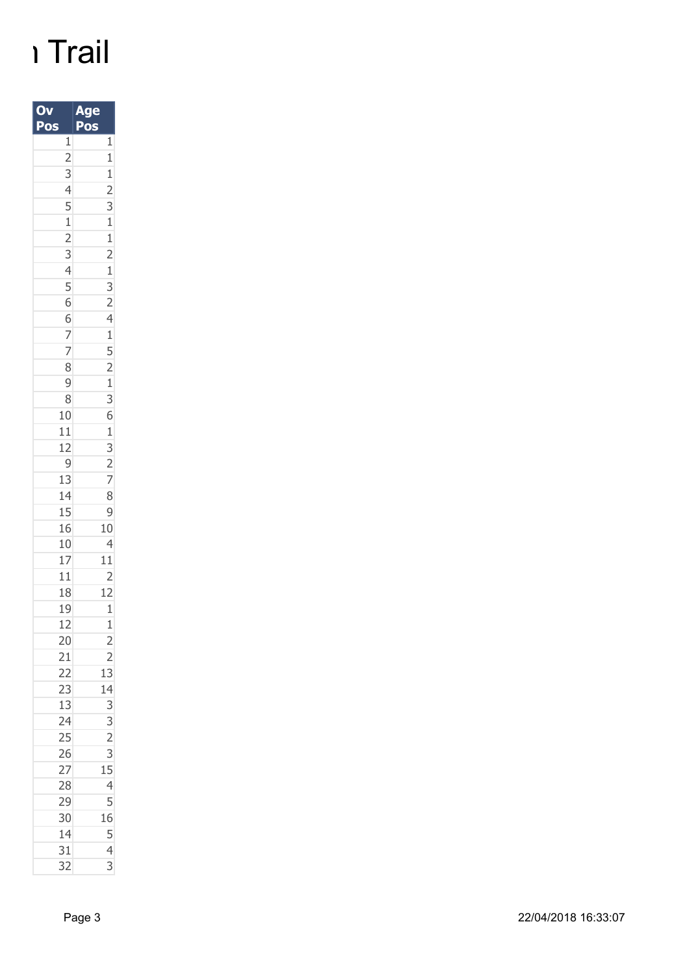### ו Trail

| 0                                                                                          | e<br>g                                                                                                                                                                                                                                                                                                                                                                                                         |
|--------------------------------------------------------------------------------------------|----------------------------------------------------------------------------------------------------------------------------------------------------------------------------------------------------------------------------------------------------------------------------------------------------------------------------------------------------------------------------------------------------------------|
| Pos                                                                                        | Pos                                                                                                                                                                                                                                                                                                                                                                                                            |
| $\mathbf{1}$                                                                               | $\overline{1}$                                                                                                                                                                                                                                                                                                                                                                                                 |
|                                                                                            |                                                                                                                                                                                                                                                                                                                                                                                                                |
|                                                                                            |                                                                                                                                                                                                                                                                                                                                                                                                                |
|                                                                                            |                                                                                                                                                                                                                                                                                                                                                                                                                |
|                                                                                            |                                                                                                                                                                                                                                                                                                                                                                                                                |
| 2<br>3<br>4<br>5<br>1<br>2<br>3<br>4<br>5<br>6<br>6<br>7<br>7<br>8<br>9<br>3<br>1<br>11112 |                                                                                                                                                                                                                                                                                                                                                                                                                |
|                                                                                            |                                                                                                                                                                                                                                                                                                                                                                                                                |
|                                                                                            |                                                                                                                                                                                                                                                                                                                                                                                                                |
|                                                                                            |                                                                                                                                                                                                                                                                                                                                                                                                                |
|                                                                                            |                                                                                                                                                                                                                                                                                                                                                                                                                |
|                                                                                            |                                                                                                                                                                                                                                                                                                                                                                                                                |
|                                                                                            |                                                                                                                                                                                                                                                                                                                                                                                                                |
|                                                                                            |                                                                                                                                                                                                                                                                                                                                                                                                                |
|                                                                                            |                                                                                                                                                                                                                                                                                                                                                                                                                |
|                                                                                            |                                                                                                                                                                                                                                                                                                                                                                                                                |
|                                                                                            |                                                                                                                                                                                                                                                                                                                                                                                                                |
|                                                                                            |                                                                                                                                                                                                                                                                                                                                                                                                                |
|                                                                                            |                                                                                                                                                                                                                                                                                                                                                                                                                |
|                                                                                            |                                                                                                                                                                                                                                                                                                                                                                                                                |
|                                                                                            |                                                                                                                                                                                                                                                                                                                                                                                                                |
| $\overline{9}$                                                                             | $\frac{1}{1}$ $\frac{1}{2}$ $\frac{1}{3}$ $\frac{1}{1}$ $\frac{1}{2}$ $\frac{1}{1}$ $\frac{1}{3}$ $\frac{1}{2}$ $\frac{1}{1}$ $\frac{1}{3}$ $\frac{1}{2}$ $\frac{1}{1}$ $\frac{1}{2}$ $\frac{1}{2}$ $\frac{1}{1}$ $\frac{1}{3}$ $\frac{1}{2}$ $\frac{1}{1}$ $\frac{1}{2}$                                                                                                                                      |
| 13                                                                                         |                                                                                                                                                                                                                                                                                                                                                                                                                |
| 14                                                                                         |                                                                                                                                                                                                                                                                                                                                                                                                                |
|                                                                                            |                                                                                                                                                                                                                                                                                                                                                                                                                |
| $\frac{15}{16}$                                                                            |                                                                                                                                                                                                                                                                                                                                                                                                                |
| 10                                                                                         |                                                                                                                                                                                                                                                                                                                                                                                                                |
| 17                                                                                         | $\frac{9}{10}$<br>$\frac{10}{4}$<br>$\frac{11}{12}$                                                                                                                                                                                                                                                                                                                                                            |
| $\frac{11}{18}$                                                                            |                                                                                                                                                                                                                                                                                                                                                                                                                |
|                                                                                            |                                                                                                                                                                                                                                                                                                                                                                                                                |
| 19                                                                                         | $\overline{1}$                                                                                                                                                                                                                                                                                                                                                                                                 |
| 12                                                                                         | $\mathbf{1}$                                                                                                                                                                                                                                                                                                                                                                                                   |
| 20                                                                                         |                                                                                                                                                                                                                                                                                                                                                                                                                |
|                                                                                            |                                                                                                                                                                                                                                                                                                                                                                                                                |
|                                                                                            |                                                                                                                                                                                                                                                                                                                                                                                                                |
|                                                                                            |                                                                                                                                                                                                                                                                                                                                                                                                                |
| 21 22 23 13 24 25 26 27 28 29 30                                                           |                                                                                                                                                                                                                                                                                                                                                                                                                |
|                                                                                            |                                                                                                                                                                                                                                                                                                                                                                                                                |
|                                                                                            |                                                                                                                                                                                                                                                                                                                                                                                                                |
|                                                                                            |                                                                                                                                                                                                                                                                                                                                                                                                                |
|                                                                                            |                                                                                                                                                                                                                                                                                                                                                                                                                |
|                                                                                            |                                                                                                                                                                                                                                                                                                                                                                                                                |
|                                                                                            |                                                                                                                                                                                                                                                                                                                                                                                                                |
|                                                                                            |                                                                                                                                                                                                                                                                                                                                                                                                                |
| 14                                                                                         |                                                                                                                                                                                                                                                                                                                                                                                                                |
| 31                                                                                         |                                                                                                                                                                                                                                                                                                                                                                                                                |
| $\overline{32}$                                                                            | $\begin{array}{@{}c@{\hspace{1em}}c@{\hspace{1em}}c@{\hspace{1em}}c@{\hspace{1em}}c@{\hspace{1em}}c@{\hspace{1em}}c@{\hspace{1em}}c@{\hspace{1em}}c@{\hspace{1em}}c@{\hspace{1em}}c@{\hspace{1em}}c@{\hspace{1em}}c@{\hspace{1em}}c@{\hspace{1em}}c@{\hspace{1em}}c@{\hspace{1em}}c@{\hspace{1em}}c@{\hspace{1em}}c@{\hspace{1em}}c@{\hspace{1em}}c@{\hspace{1em}}c@{\hspace{1em}}c@{\hspace{1em}}c@{\hspace{$ |
|                                                                                            |                                                                                                                                                                                                                                                                                                                                                                                                                |